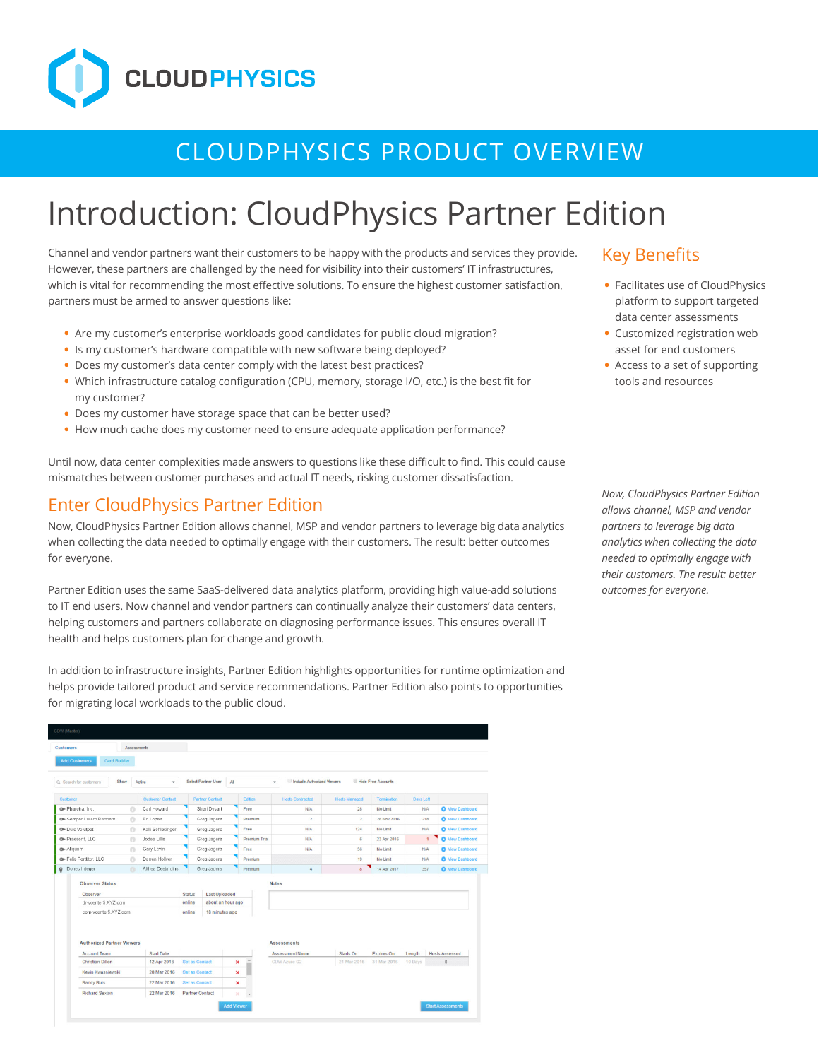

## CLOUDPHYSICS PRODUCT OVERVIEW

# Introduction: CloudPhysics Partner Edition

Channel and vendor partners want their customers to be happy with the products and services they provide. However, these partners are challenged by the need for visibility into their customers' IT infrastructures, which is vital for recommending the most effective solutions. To ensure the highest customer satisfaction, partners must be armed to answer questions like:

- Are my customer's enterprise workloads good candidates for public cloud migration?
- **•** Is my customer's hardware compatible with new software being deployed?
- **•** Does my customer's data center comply with the latest best practices?
- **•** Which infrastructure catalog configuration (CPU, memory, storage I/O, etc.) is the best fit for my customer?
- **•** Does my customer have storage space that can be better used?
- **•** How much cache does my customer need to ensure adequate application performance?

Until now, data center complexities made answers to questions like these difficult to find. This could cause mismatches between customer purchases and actual IT needs, risking customer dissatisfaction.

#### Enter CloudPhysics Partner Edition

Now, CloudPhysics Partner Edition allows channel, MSP and vendor partners to leverage big data analytics when collecting the data needed to optimally engage with their customers. The result: better outcomes for everyone.

Partner Edition uses the same SaaS-delivered data analytics platform, providing high value-add solutions to IT end users. Now channel and vendor partners can continually analyze their customers' data centers, helping customers and partners collaborate on diagnosing performance issues. This ensures overall IT health and helps customers plan for change and growth.

In addition to infrastructure insights, Partner Edition highlights opportunities for runtime optimization and helps provide tailored product and service recommendations. Partner Edition also points to opportunities for migrating local workloads to the public cloud.

| <b>Customers</b>                     | Assessments |                                 |                             |                          |                           |                                 |                         |                    |            |                                           |
|--------------------------------------|-------------|---------------------------------|-----------------------------|--------------------------|---------------------------|---------------------------------|-------------------------|--------------------|------------|-------------------------------------------|
| <b>Add Customers</b><br>Card Builder |             |                                 |                             |                          |                           |                                 |                         |                    |            |                                           |
| Show<br>Q Search for customers       |             | Active<br>$\check{\phantom{a}}$ |                             | Select Partner User<br>A |                           | Include Authorized Viewers<br>۰ |                         | Hide Free Accounts |            |                                           |
| Customer                             |             | <b>Customer Contact</b>         |                             | <b>Partner Contact</b>   | Edition                   | <b>Hosts Contracted</b>         | <b>Hosts Managed</b>    | <b>Termination</b> | Days Left  |                                           |
| Pharetra, Inc.                       | $\Omega$    | Carl Howard                     |                             | Sheri Dysart             | Free                      | <b>N/A</b>                      | 28                      | No Limit           | N/A        | O View Dashboard                          |
| C Semper Lorem Partners              | $\theta$    | Ed Lopez                        |                             | Greg Jagers              | Premium                   | $\overline{a}$                  | $\overline{c}$          | 26 Nov 2016        | 218        | O View Dashboard                          |
| C Duis Volutpat                      | $\Omega$    | Kalli Schlesinger               |                             | Greg Jagers              | Free                      | <b>N/A</b>                      | 124                     | No Limit           | <b>N/A</b> | <b>O</b> View Dashboard                   |
| Praesent, LLC                        | $\Omega$    | Jodee Lillis                    |                             | Greg Jagers              |                           | Premium Trial<br>N/A            | 6                       | 23 Apr 2016        |            | <b>O</b> View Dashboard<br>1 <sup>1</sup> |
| Aliquam                              | $\Omega$    | Gary Levin                      |                             | Greg Jagers              |                           | <b>N/A</b>                      | 56                      | No Limit           | <b>N/A</b> | <b>O</b> Vew Dashboard                    |
| C Felis Portfitor, LLC               | $\Omega$    | Darren Hollver                  |                             | Greg Jagers              | Premium                   |                                 | 19                      | No Limit           | <b>N/A</b> | <b>O</b> View Dashboard                   |
| Donec Integer<br>$\circ$             | n           | Althea Desjardins               | Greg Jagers                 |                          | Premium                   | $\overline{4}$                  | $\overline{\mathbf{8}}$ | 14 Apr 2017        | 357        | <b>O</b> View Dashboard                   |
| <b>Observer Status</b>               |             |                                 |                             |                          |                           | <b>Notes</b>                    |                         |                    |            |                                           |
| Observer                             |             |                                 | <b>Status</b>               | <b>Last Uploaded</b>     |                           |                                 |                         |                    |            |                                           |
| dr-vcenter5.XYZ.com                  |             |                                 | online<br>about an hour ago |                          |                           |                                 |                         |                    |            |                                           |
| corp-vcenter5.XYZ.com                |             |                                 | online                      | 18 minutes ago           |                           |                                 |                         |                    |            |                                           |
|                                      |             |                                 |                             |                          |                           |                                 |                         |                    |            |                                           |
|                                      |             |                                 |                             |                          |                           |                                 |                         |                    |            |                                           |
| <b>Authorized Partner Viewers</b>    |             |                                 |                             |                          |                           | <b>Assessments</b>              |                         |                    |            |                                           |
| <b>Account Team</b>                  |             | <b>Start Date</b>               |                             |                          |                           | Assessment Name                 | Starts On               | Expires On         | Length     | <b>Hosts Assessed</b>                     |
| <b>Christian Dillon</b>              |             | 12 Apr 2016                     | Set as Contact              |                          | ×                         | CDW Azure Q2                    | 21 Mar 2016             | 31 Mar 2016        | 10 Days    | 8                                         |
| Kevin Kwasniewski                    |             | 28 Mar 2016                     | Set as Contact              |                          | $\pmb{\times}$            |                                 |                         |                    |            |                                           |
|                                      |             | 22 Mar 2016                     | <b>Set as Contact</b>       |                          | $\boldsymbol{\mathsf{x}}$ |                                 |                         |                    |            |                                           |
| Randy Ruis                           |             |                                 |                             |                          |                           |                                 |                         |                    |            |                                           |

#### Key Benefits

- **•** Facilitates use of CloudPhysics platform to support targeted data center assessments
- **•** Customized registration web asset for end customers
- **•** Access to a set of supporting tools and resources

*Now, CloudPhysics Partner Edition allows channel, MSP and vendor partners to leverage big data analytics when collecting the data needed to optimally engage with their customers. The result: better outcomes for everyone.*